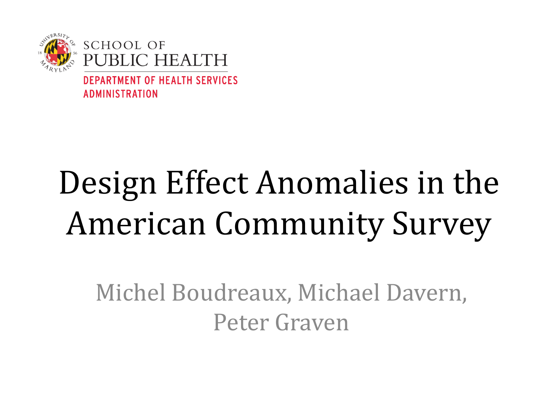

# Design Effect Anomalies in the American Community Survey

Michel Boudreaux, Michael Davern, Peter Graven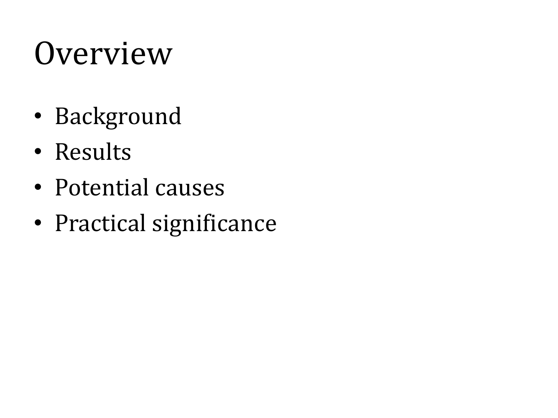## **Overview**

- Background
- Results
- Potential causes
- Practical significance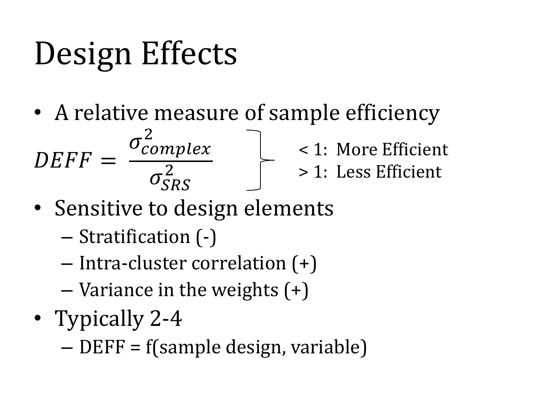# Design Effects

• A relative measure of sample efficiency



< 1: More Efficient > 1: Less Efficient

- Sensitive to design elements
	- Stratification (-)
	- Intra-cluster correlation (+)
	- Variance in the weights (+)
- Typically 2-4

– DEFF = f(sample design, variable)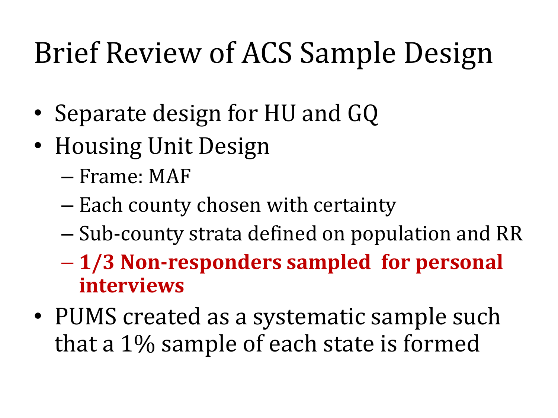## Brief Review of ACS Sample Design

- Separate design for HU and GQ
- Housing Unit Design
	- Frame: MAF
	- Each county chosen with certainty
	- Sub-county strata defined on population and RR
	- **1/3 Non-responders sampled for personal interviews**
- PUMS created as a systematic sample such that a 1% sample of each state is formed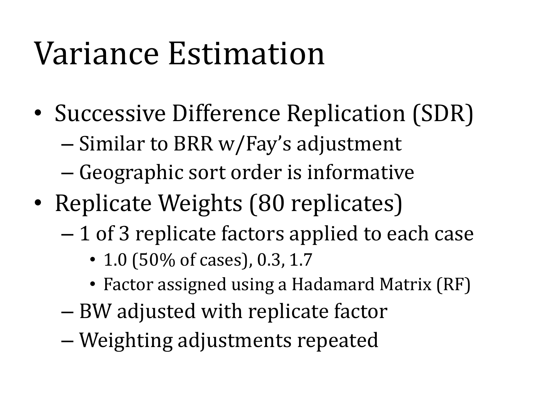## Variance Estimation

- Successive Difference Replication (SDR)
	- Similar to BRR w/Fay's adjustment
	- Geographic sort order is informative
- Replicate Weights (80 replicates)
	- 1 of 3 replicate factors applied to each case
		- 1.0 (50% of cases), 0.3, 1.7
		- Factor assigned using a Hadamard Matrix (RF)
	- BW adjusted with replicate factor
	- Weighting adjustments repeated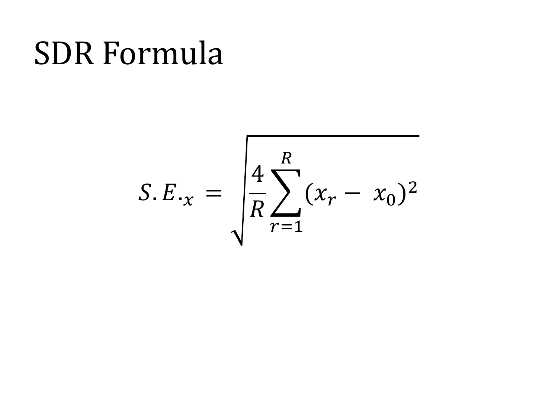#### SDR Formula

$$
S.E_{\cdot x} = \sqrt{\frac{4}{R} \sum_{r=1}^{R} (x_r - x_0)^2}
$$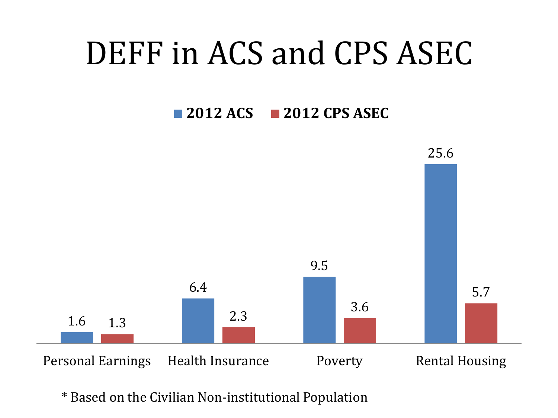#### DEFF in ACS and CPS ASEC

#### **2012 ACS 2012 CPS ASEC**



\* Based on the Civilian Non-institutional Population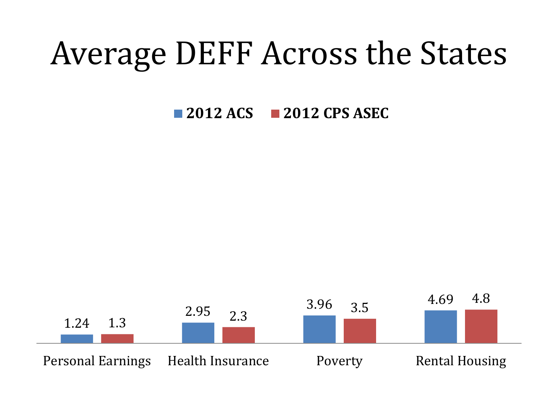## Average DEFF Across the States

**2012 ACS 2012 CPS ASEC**

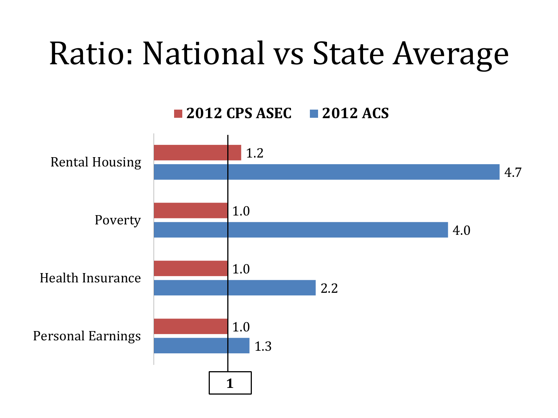## Ratio: National vs State Average

**2012 CPS ASEC 2012 ACS**

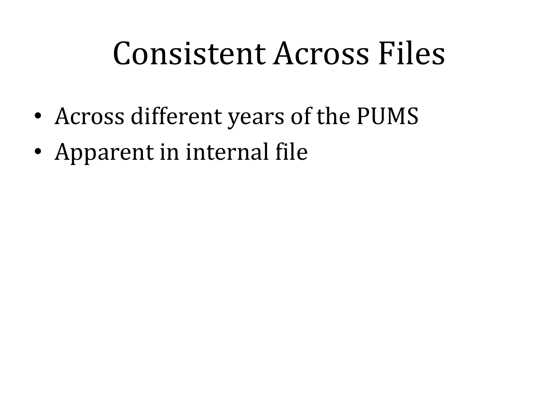## Consistent Across Files

- Across different years of the PUMS
- Apparent in internal file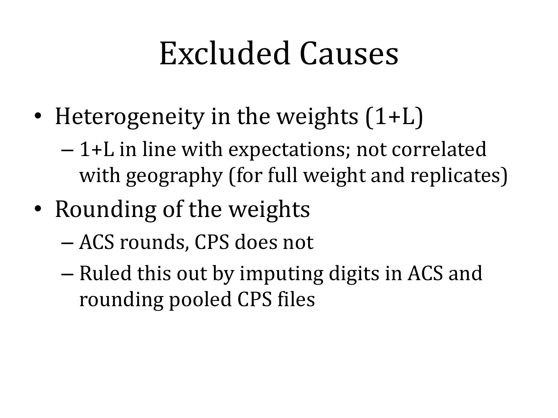## Excluded Causes

- Heterogeneity in the weights  $(1+L)$ 
	- 1+L in line with expectations; not correlated with geography (for full weight and replicates)
- Rounding of the weights
	- ACS rounds, CPS does not
	- Ruled this out by imputing digits in ACS and rounding pooled CPS files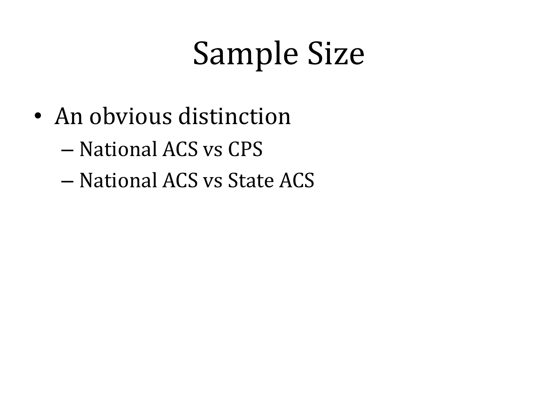## Sample Size

- An obvious distinction
	- National ACS vs CPS
	- National ACS vs State ACS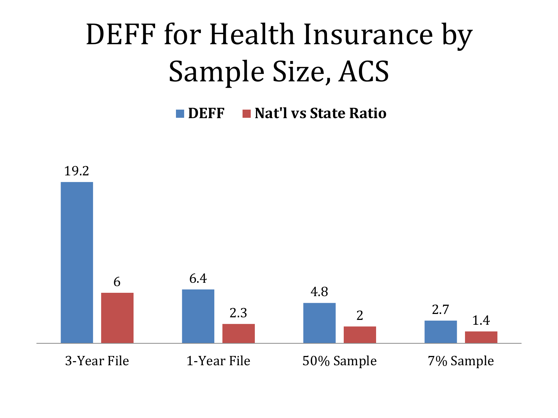## DEFF for Health Insurance by Sample Size, ACS

**DEFF Nat'l vs State Ratio**

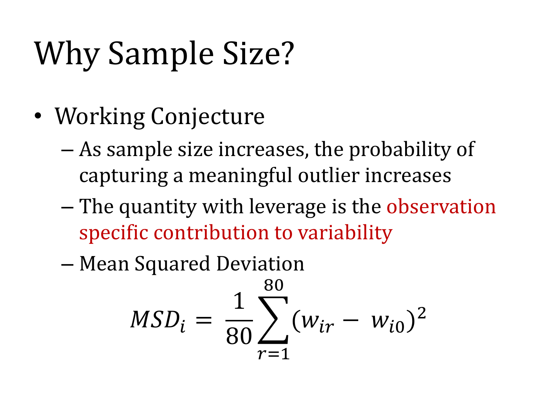## Why Sample Size?

- Working Conjecture
	- As sample size increases, the probability of capturing a meaningful outlier increases
	- The quantity with leverage is the observation specific contribution to variability
	- Mean Squared Deviation

$$
MSD_i = \frac{1}{80} \sum_{r=1}^{80} (w_{ir} - w_{i0})^2
$$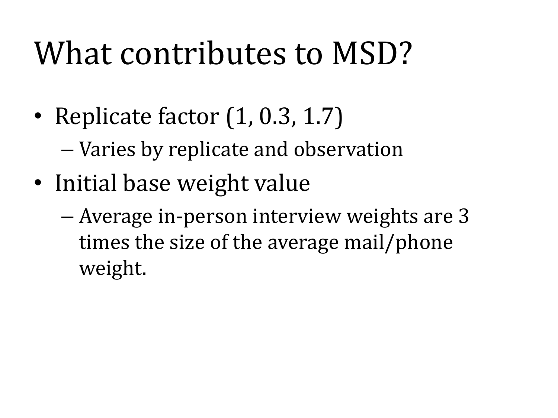## What contributes to MSD?

• Replicate factor (1, 0.3, 1.7)

– Varies by replicate and observation

- Initial base weight value
	- Average in-person interview weights are 3 times the size of the average mail/phone weight.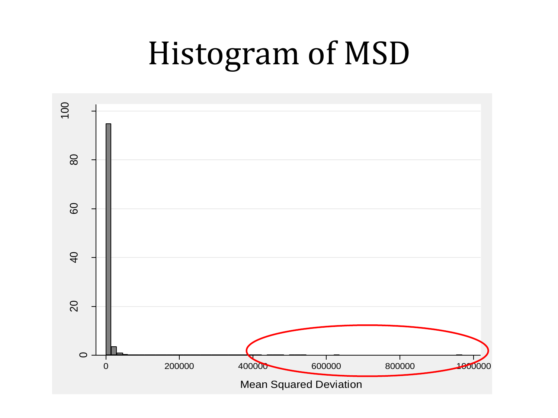## Histogram of MSD

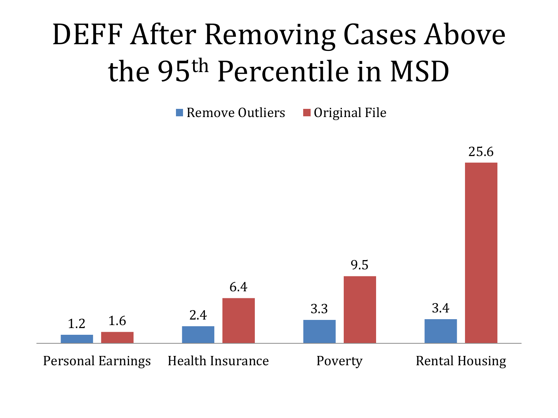### DEFF After Removing Cases Above the 95th Percentile in MSD

Remove Outliers  $\Box$  Original File

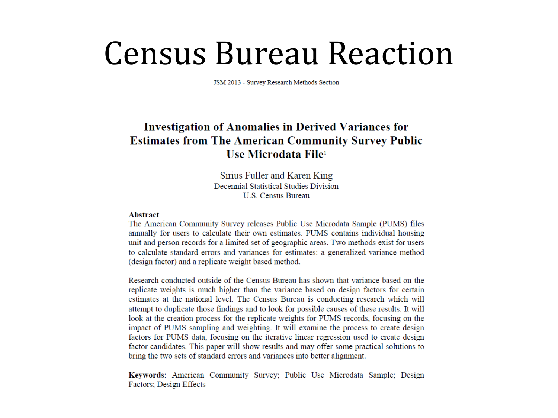#### Census Bureau Reaction

JSM 2013 - Survey Research Methods Section

#### **Investigation of Anomalies in Derived Variances for Estimates from The American Community Survey Public** Use Microdata File<sup>1</sup>

Sirius Fuller and Karen King Decennial Statistical Studies Division **U.S. Census Bureau** 

#### **Abstract**

The American Community Survey releases Public Use Microdata Sample (PUMS) files annually for users to calculate their own estimates. PUMS contains individual housing unit and person records for a limited set of geographic areas. Two methods exist for users to calculate standard errors and variances for estimates: a generalized variance method (design factor) and a replicate weight based method.

Research conducted outside of the Census Bureau has shown that variance based on the replicate weights is much higher than the variance based on design factors for certain estimates at the national level. The Census Bureau is conducting research which will attempt to duplicate those findings and to look for possible causes of these results. It will look at the creation process for the replicate weights for PUMS records, focusing on the impact of PUMS sampling and weighting. It will examine the process to create design factors for PUMS data, focusing on the iterative linear regression used to create design factor candidates. This paper will show results and may offer some practical solutions to bring the two sets of standard errors and variances into better alignment.

Keywords: American Community Survey; Public Use Microdata Sample; Design Factors; Design Effects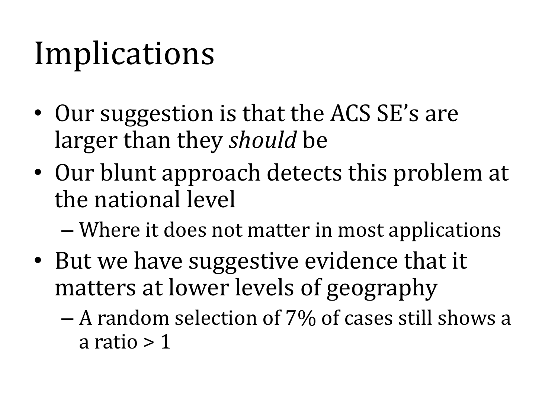## Implications

- Our suggestion is that the ACS SE's are larger than they *should* be
- Our blunt approach detects this problem at the national level
	- Where it does not matter in most applications
- But we have suggestive evidence that it matters at lower levels of geography
	- A random selection of 7% of cases still shows a a ratio  $> 1$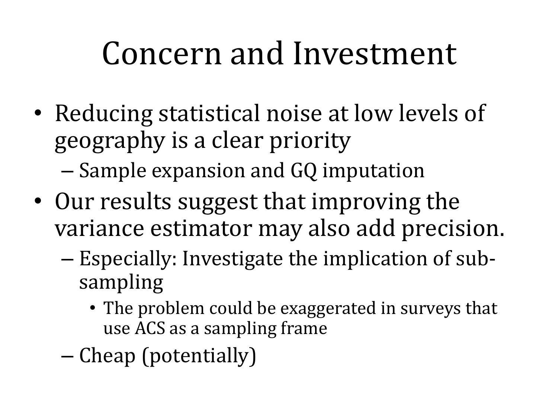## Concern and Investment

- Reducing statistical noise at low levels of geography is a clear priority
	- Sample expansion and GQ imputation
- Our results suggest that improving the variance estimator may also add precision.
	- Especially: Investigate the implication of subsampling
		- The problem could be exaggerated in surveys that use ACS as a sampling frame
	- Cheap (potentially)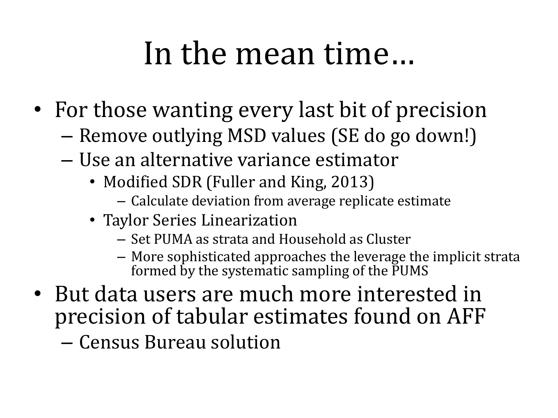## In the mean time…

- For those wanting every last bit of precision
	- Remove outlying MSD values (SE do go down!)
	- Use an alternative variance estimator
		- Modified SDR (Fuller and King, 2013)
			- Calculate deviation from average replicate estimate
		- Taylor Series Linearization
			- Set PUMA as strata and Household as Cluster
			- More sophisticated approaches the leverage the implicit strata formed by the systematic sampling of the PUMS
- But data users are much more interested in precision of tabular estimates found on AFF

– Census Bureau solution